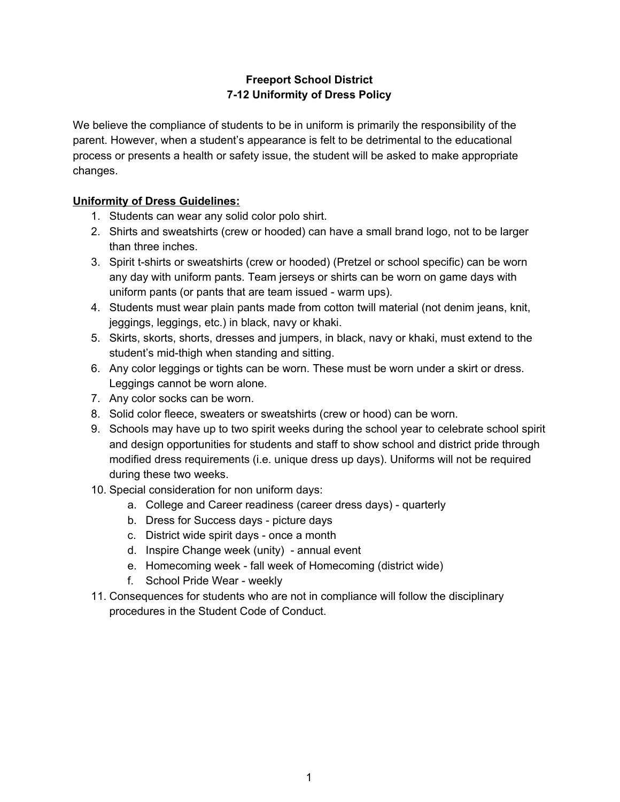## **Freeport School District 7-12 Uniformity of Dress Policy**

We believe the compliance of students to be in uniform is primarily the responsibility of the parent. However, when a student's appearance is felt to be detrimental to the educational process or presents a health or safety issue, the student will be asked to make appropriate changes.

## **Uniformity of Dress Guidelines:**

- 1. Students can wear any solid color polo shirt.
- 2. Shirts and sweatshirts (crew or hooded) can have a small brand logo, not to be larger than three inches.
- 3. Spirit t-shirts or sweatshirts (crew or hooded) (Pretzel or school specific) can be worn any day with uniform pants. Team jerseys or shirts can be worn on game days with uniform pants (or pants that are team issued - warm ups).
- 4. Students must wear plain pants made from cotton twill material (not denim jeans, knit, jeggings, leggings, etc.) in black, navy or khaki.
- 5. Skirts, skorts, shorts, dresses and jumpers, in black, navy or khaki, must extend to the student's mid-thigh when standing and sitting.
- 6. Any color leggings or tights can be worn. These must be worn under a skirt or dress. Leggings cannot be worn alone.
- 7. Any color socks can be worn.
- 8. Solid color fleece, sweaters or sweatshirts (crew or hood) can be worn.
- 9. Schools may have up to two spirit weeks during the school year to celebrate school spirit and design opportunities for students and staff to show school and district pride through modified dress requirements (i.e. unique dress up days). Uniforms will not be required during these two weeks.
- 10. Special consideration for non uniform days:
	- a. College and Career readiness (career dress days) quarterly
	- b. Dress for Success days picture days
	- c. District wide spirit days once a month
	- d. Inspire Change week (unity) annual event
	- e. Homecoming week fall week of Homecoming (district wide)
	- f. School Pride Wear weekly
- 11. Consequences for students who are not in compliance will follow the disciplinary procedures in the Student Code of Conduct.